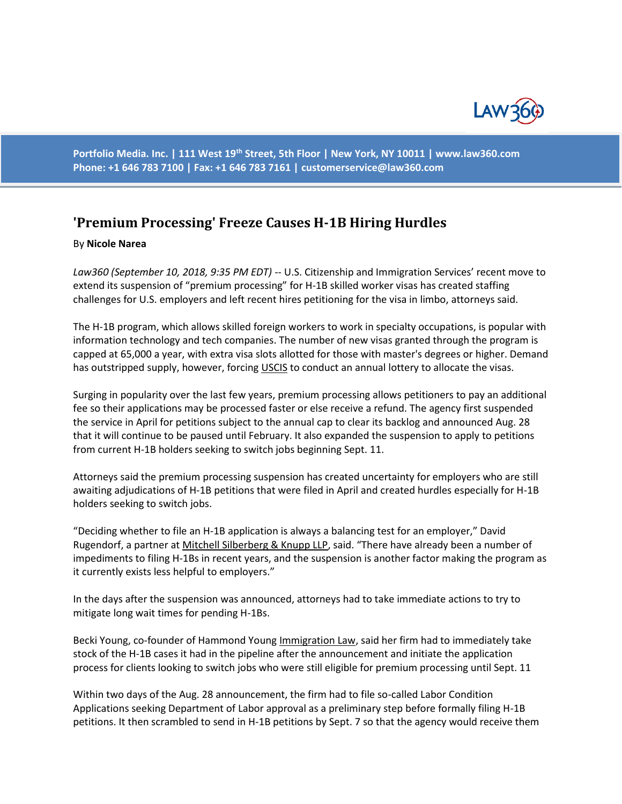

**Portfolio Media. Inc. | 111 West 19th Street, 5th Floor | New York, NY 10011 | www.law360.com Phone: +1 646 783 7100 | Fax: +1 646 783 7161 | [customerservice@law360.com](mailto:customerservice@law360.com)**

## **'Premium Processing' Freeze Causes H-1B Hiring Hurdles**

## By **Nicole Narea**

*Law360 (September 10, 2018, 9:35 PM EDT)* -- U.S. Citizenship and Immigration Services' recent move to extend its suspension of "premium processing" for H-1B skilled worker visas has created staffing challenges for U.S. employers and left recent hires petitioning for the visa in limbo, attorneys said.

The H-1B program, which allows skilled foreign workers to work in specialty occupations, is popular with information technology and tech companies. The number of new visas granted through the program is capped at 65,000 a year, with extra visa slots allotted for those with master's degrees or higher. Demand has outstripped supply, however, forcing USCIS to conduct an annual lottery to allocate the visas.

Surging in popularity over the last few years, premium processing allows petitioners to pay an additional fee so their applications may be processed faster or else receive a refund. The agency first suspended the service in April for petitions subject to the annual cap to clear its backlog and announced Aug. 28 that it will continue to be paused until February. It also expanded the suspension to apply to petitions from current H-1B holders seeking to switch jobs beginning Sept. 11.

Attorneys said the premium processing suspension has created uncertainty for employers who are still awaiting adjudications of H-1B petitions that were filed in April and created hurdles especially for H-1B holders seeking to switch jobs.

"Deciding whether to file an H-1B application is always a balancing test for an employer," David Rugendorf, a partner at Mitchell Silberberg & Knupp LLP, said. "There have already been a number of impediments to filing H-1Bs in recent years, and the suspension is another factor making the program as it currently exists less helpful to employers."

In the days after the suspension was announced, attorneys had to take immediate actions to try to mitigate long wait times for pending H-1Bs.

Becki Young, co-founder of Hammond Young Immigration Law, said her firm had to immediately take stock of the H-1B cases it had in the pipeline after the announcement and initiate the application process for clients looking to switch jobs who were still eligible for premium processing until Sept. 11

Within two days of the Aug. 28 announcement, the firm had to file so-called Labor Condition Applications seeking Department of Labor approval as a preliminary step before formally filing H-1B petitions. It then scrambled to send in H-1B petitions by Sept. 7 so that the agency would receive them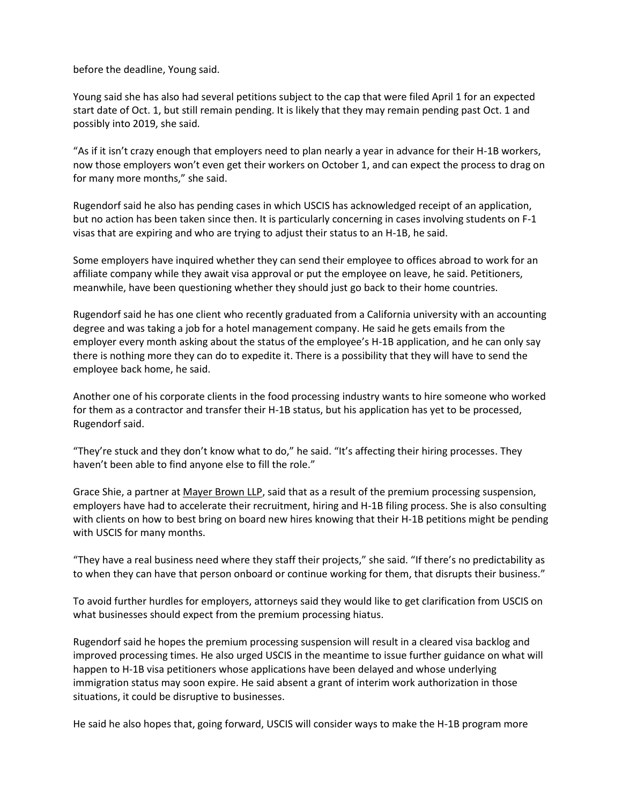before the deadline, Young said.

Young said she has also had several petitions subject to the cap that were filed April 1 for an expected start date of Oct. 1, but still remain pending. It is likely that they may remain pending past Oct. 1 and possibly into 2019, she said.

"As if it isn't crazy enough that employers need to plan nearly a year in advance for their H-1B workers, now those employers won't even get their workers on October 1, and can expect the process to drag on for many more months," she said.

Rugendorf said he also has pending cases in which USCIS has acknowledged receipt of an application, but no action has been taken since then. It is particularly concerning in cases involving students on F-1 visas that are expiring and who are trying to adjust their status to an H-1B, he said.

Some employers have inquired whether they can send their employee to offices abroad to work for an affiliate company while they await visa approval or put the employee on leave, he said. Petitioners, meanwhile, have been questioning whether they should just go back to their home countries.

Rugendorf said he has one client who recently graduated from a California university with an accounting degree and was taking a job for a hotel management company. He said he gets emails from the employer every month asking about the status of the employee's H-1B application, and he can only say there is nothing more they can do to expedite it. There is a possibility that they will have to send the employee back home, he said.

Another one of his corporate clients in the food processing industry wants to hire someone who worked for them as a contractor and transfer their H-1B status, but his application has yet to be processed, Rugendorf said.

"They're stuck and they don't know what to do," he said. "It's affecting their hiring processes. They haven't been able to find anyone else to fill the role."

Grace Shie, a partner at Mayer Brown LLP, said that as a result of the premium processing suspension, employers have had to accelerate their recruitment, hiring and H-1B filing process. She is also consulting with clients on how to best bring on board new hires knowing that their H-1B petitions might be pending with USCIS for many months.

"They have a real business need where they staff their projects," she said. "If there's no predictability as to when they can have that person onboard or continue working for them, that disrupts their business."

To avoid further hurdles for employers, attorneys said they would like to get clarification from USCIS on what businesses should expect from the premium processing hiatus.

Rugendorf said he hopes the premium processing suspension will result in a cleared visa backlog and improved processing times. He also urged USCIS in the meantime to issue further guidance on what will happen to H-1B visa petitioners whose applications have been delayed and whose underlying immigration status may soon expire. He said absent a grant of interim work authorization in those situations, it could be disruptive to businesses.

He said he also hopes that, going forward, USCIS will consider ways to make the H-1B program more